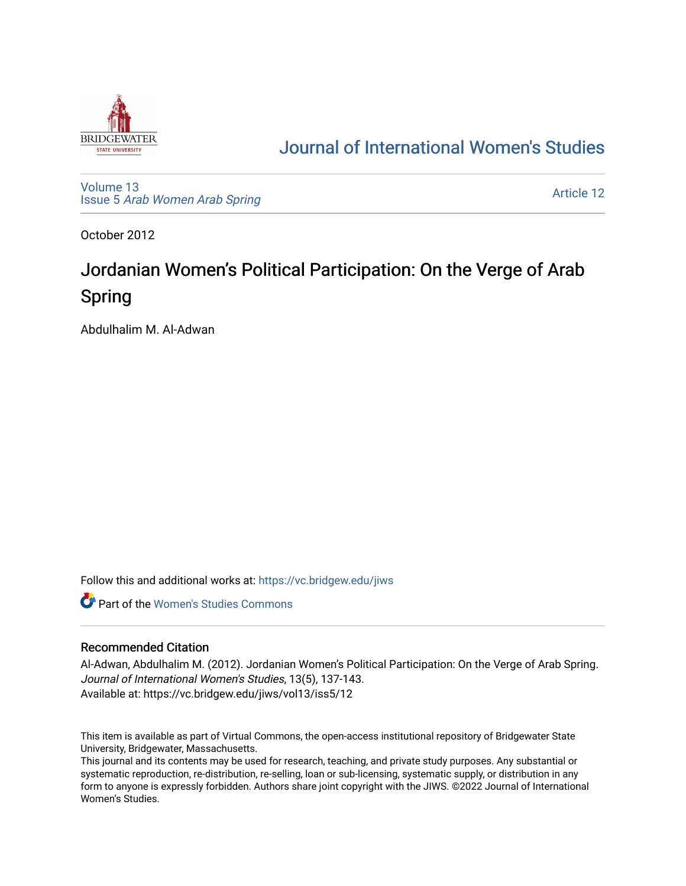

# [Journal of International Women's Studies](https://vc.bridgew.edu/jiws)

[Volume 13](https://vc.bridgew.edu/jiws/vol13) Issue 5 [Arab Women Arab Spring](https://vc.bridgew.edu/jiws/vol13/iss5)

[Article 12](https://vc.bridgew.edu/jiws/vol13/iss5/12) 

October 2012

# Jordanian Women's Political Participation: On the Verge of Arab Spring

Abdulhalim M. Al-Adwan

Follow this and additional works at: [https://vc.bridgew.edu/jiws](https://vc.bridgew.edu/jiws?utm_source=vc.bridgew.edu%2Fjiws%2Fvol13%2Fiss5%2F12&utm_medium=PDF&utm_campaign=PDFCoverPages)

**C** Part of the Women's Studies Commons

# Recommended Citation

Al-Adwan, Abdulhalim M. (2012). Jordanian Women's Political Participation: On the Verge of Arab Spring. Journal of International Women's Studies, 13(5), 137-143. Available at: https://vc.bridgew.edu/jiws/vol13/iss5/12

This item is available as part of Virtual Commons, the open-access institutional repository of Bridgewater State University, Bridgewater, Massachusetts.

This journal and its contents may be used for research, teaching, and private study purposes. Any substantial or systematic reproduction, re-distribution, re-selling, loan or sub-licensing, systematic supply, or distribution in any form to anyone is expressly forbidden. Authors share joint copyright with the JIWS. ©2022 Journal of International Women's Studies.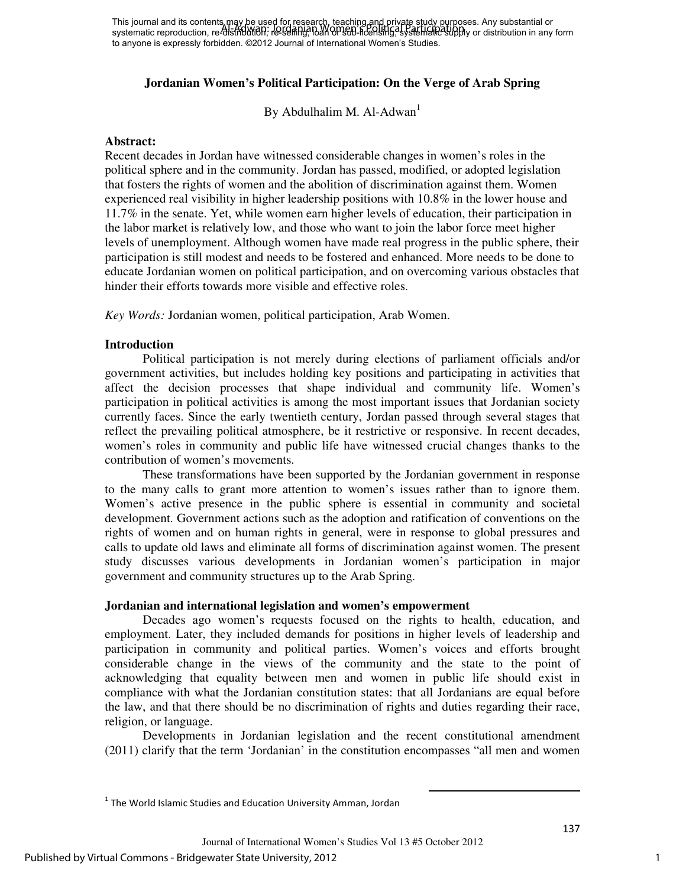# **Jordanian Women's Political Participation: On the Verge of Arab Spring**

By Abdulhalim M. Al-Adwan<sup>1</sup>

#### **Abstract:**

Recent decades in Jordan have witnessed considerable changes in women's roles in the political sphere and in the community. Jordan has passed, modified, or adopted legislation that fosters the rights of women and the abolition of discrimination against them. Women experienced real visibility in higher leadership positions with 10.8% in the lower house and 11.7% in the senate. Yet, while women earn higher levels of education, their participation in the labor market is relatively low, and those who want to join the labor force meet higher levels of unemployment. Although women have made real progress in the public sphere, their participation is still modest and needs to be fostered and enhanced. More needs to be done to educate Jordanian women on political participation, and on overcoming various obstacles that hinder their efforts towards more visible and effective roles.

*Key Words:* Jordanian women, political participation, Arab Women.

#### **Introduction**

Political participation is not merely during elections of parliament officials and/or government activities, but includes holding key positions and participating in activities that affect the decision processes that shape individual and community life. Women's participation in political activities is among the most important issues that Jordanian society currently faces. Since the early twentieth century, Jordan passed through several stages that reflect the prevailing political atmosphere, be it restrictive or responsive. In recent decades, women's roles in community and public life have witnessed crucial changes thanks to the contribution of women's movements.

These transformations have been supported by the Jordanian government in response to the many calls to grant more attention to women's issues rather than to ignore them. Women's active presence in the public sphere is essential in community and societal development. Government actions such as the adoption and ratification of conventions on the rights of women and on human rights in general, were in response to global pressures and calls to update old laws and eliminate all forms of discrimination against women. The present study discusses various developments in Jordanian women's participation in major government and community structures up to the Arab Spring.

# **Jordanian and international legislation and women's empowerment**

Decades ago women's requests focused on the rights to health, education, and employment. Later, they included demands for positions in higher levels of leadership and participation in community and political parties. Women's voices and efforts brought considerable change in the views of the community and the state to the point of acknowledging that equality between men and women in public life should exist in compliance with what the Jordanian constitution states: that all Jordanians are equal before the law, and that there should be no discrimination of rights and duties regarding their race, religion, or language.

Developments in Jordanian legislation and the recent constitutional amendment (2011) clarify that the term 'Jordanian' in the constitution encompasses "all men and women

 $\overline{a}$ 

 $<sup>1</sup>$  The World Islamic Studies and Education University Amman, Jordan</sup>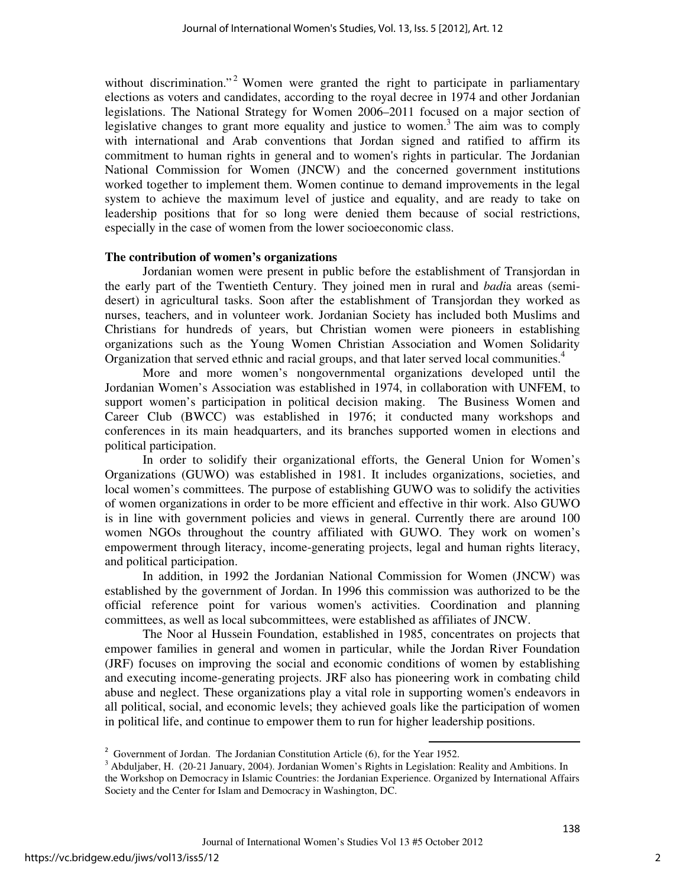without discrimination."<sup>2</sup> Women were granted the right to participate in parliamentary elections as voters and candidates, according to the royal decree in 1974 and other Jordanian legislations. The National Strategy for Women 2006–2011 focused on a major section of legislative changes to grant more equality and justice to women.<sup>3</sup> The aim was to comply with international and Arab conventions that Jordan signed and ratified to affirm its commitment to human rights in general and to women's rights in particular. The Jordanian National Commission for Women (JNCW) and the concerned government institutions worked together to implement them. Women continue to demand improvements in the legal system to achieve the maximum level of justice and equality, and are ready to take on leadership positions that for so long were denied them because of social restrictions, especially in the case of women from the lower socioeconomic class.

#### **The contribution of women's organizations**

 Jordanian women were present in public before the establishment of Transjordan in the early part of the Twentieth Century. They joined men in rural and *badi*a areas (semidesert) in agricultural tasks. Soon after the establishment of Transjordan they worked as nurses, teachers, and in volunteer work. Jordanian Society has included both Muslims and Christians for hundreds of years, but Christian women were pioneers in establishing organizations such as the Young Women Christian Association and Women Solidarity Organization that served ethnic and racial groups, and that later served local communities.<sup>4</sup>

More and more women's nongovernmental organizations developed until the Jordanian Women's Association was established in 1974, in collaboration with UNFEM, to support women's participation in political decision making. The Business Women and Career Club (BWCC) was established in 1976; it conducted many workshops and conferences in its main headquarters, and its branches supported women in elections and political participation.

In order to solidify their organizational efforts, the General Union for Women's Organizations (GUWO) was established in 1981. It includes organizations, societies, and local women's committees. The purpose of establishing GUWO was to solidify the activities of women organizations in order to be more efficient and effective in thir work. Also GUWO is in line with government policies and views in general. Currently there are around 100 women NGOs throughout the country affiliated with GUWO. They work on women's empowerment through literacy, income-generating projects, legal and human rights literacy, and political participation.

In addition, in 1992 the Jordanian National Commission for Women (JNCW) was established by the government of Jordan. In 1996 this commission was authorized to be the official reference point for various women's activities. Coordination and planning committees, as well as local subcommittees, were established as affiliates of JNCW.

The Noor al Hussein Foundation, established in 1985, concentrates on projects that empower families in general and women in particular, while the Jordan River Foundation (JRF) focuses on improving the social and economic conditions of women by establishing and executing income-generating projects. JRF also has pioneering work in combating child abuse and neglect. These organizations play a vital role in supporting women's endeavors in all political, social, and economic levels; they achieved goals like the participation of women in political life, and continue to empower them to run for higher leadership positions.

 $\overline{a}$ 

 $2^2$  Government of Jordan. The Jordanian Constitution Article (6), for the Year 1952.

<sup>&</sup>lt;sup>3</sup> Abduljaber, H. (20-21 January, 2004). Jordanian Women's Rights in Legislation: Reality and Ambitions. In the Workshop on Democracy in Islamic Countries: the Jordanian Experience. Organized by International Affairs Society and the Center for Islam and Democracy in Washington, DC.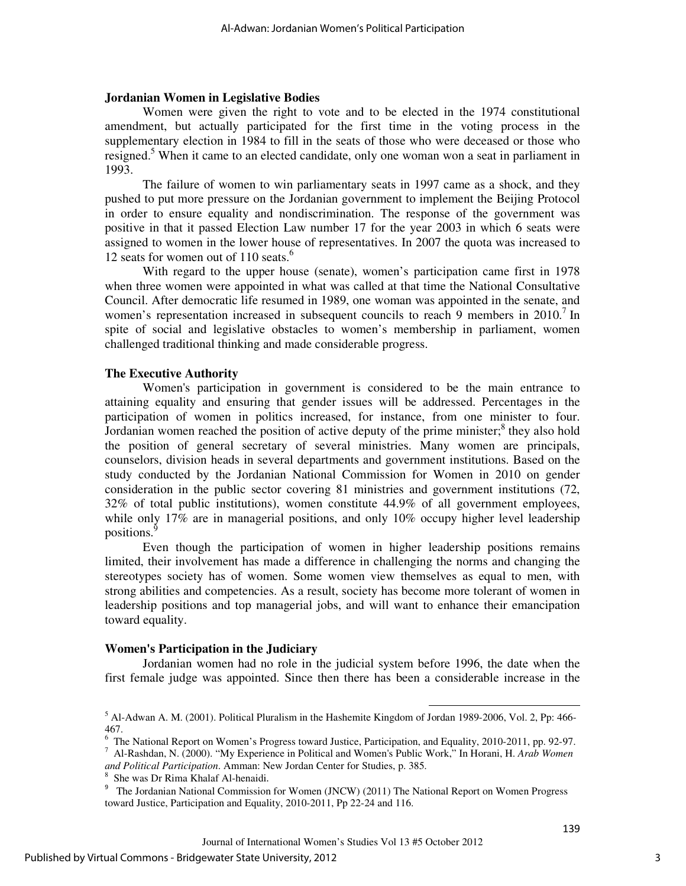#### **Jordanian Women in Legislative Bodies**

 Women were given the right to vote and to be elected in the 1974 constitutional amendment, but actually participated for the first time in the voting process in the supplementary election in 1984 to fill in the seats of those who were deceased or those who resigned.<sup>5</sup> When it came to an elected candidate, only one woman won a seat in parliament in 1993.

The failure of women to win parliamentary seats in 1997 came as a shock, and they pushed to put more pressure on the Jordanian government to implement the Beijing Protocol in order to ensure equality and nondiscrimination. The response of the government was positive in that it passed Election Law number 17 for the year 2003 in which 6 seats were assigned to women in the lower house of representatives. In 2007 the quota was increased to 12 seats for women out of 110 seats.<sup>6</sup>

With regard to the upper house (senate), women's participation came first in 1978 when three women were appointed in what was called at that time the National Consultative Council. After democratic life resumed in 1989, one woman was appointed in the senate, and women's representation increased in subsequent councils to reach 9 members in 2010.<sup>7</sup> In spite of social and legislative obstacles to women's membership in parliament, women challenged traditional thinking and made considerable progress.

#### **The Executive Authority**

Women's participation in government is considered to be the main entrance to attaining equality and ensuring that gender issues will be addressed. Percentages in the participation of women in politics increased, for instance, from one minister to four. Jordanian women reached the position of active deputy of the prime minister; $<sup>8</sup>$  they also hold</sup> the position of general secretary of several ministries. Many women are principals, counselors, division heads in several departments and government institutions. Based on the study conducted by the Jordanian National Commission for Women in 2010 on gender consideration in the public sector covering 81 ministries and government institutions (72, 32% of total public institutions), women constitute 44.9% of all government employees, while only 17% are in managerial positions, and only 10% occupy higher level leadership positions.

Even though the participation of women in higher leadership positions remains limited, their involvement has made a difference in challenging the norms and changing the stereotypes society has of women. Some women view themselves as equal to men, with strong abilities and competencies. As a result, society has become more tolerant of women in leadership positions and top managerial jobs, and will want to enhance their emancipation toward equality.

#### **Women's Participation in the Judiciary**

Jordanian women had no role in the judicial system before 1996, the date when the first female judge was appointed. Since then there has been a considerable increase in the

 $\overline{\phantom{a}}$ 

*and Political Participation*. Amman: New Jordan Center for Studies, p. 385. 8

<sup>&</sup>lt;sup>5</sup> Al-Adwan A. M. (2001). Political Pluralism in the Hashemite Kingdom of Jordan 1989-2006, Vol. 2, Pp: 466-467.

<sup>&</sup>lt;sup>6</sup> The National Report on Women's Progress toward Justice, Participation, and Equality, 2010-2011, pp. 92-97. 7 Al-Rashdan, N. (2000). "My Experience in Political and Women's Public Work," In Horani, H. *Arab Women* 

She was Dr Rima Khalaf Al-henaidi.

<sup>&</sup>lt;sup>9</sup> The Jordanian National Commission for Women (JNCW) (2011) The National Report on Women Progress toward Justice, Participation and Equality, 2010-2011, Pp 22-24 and 116.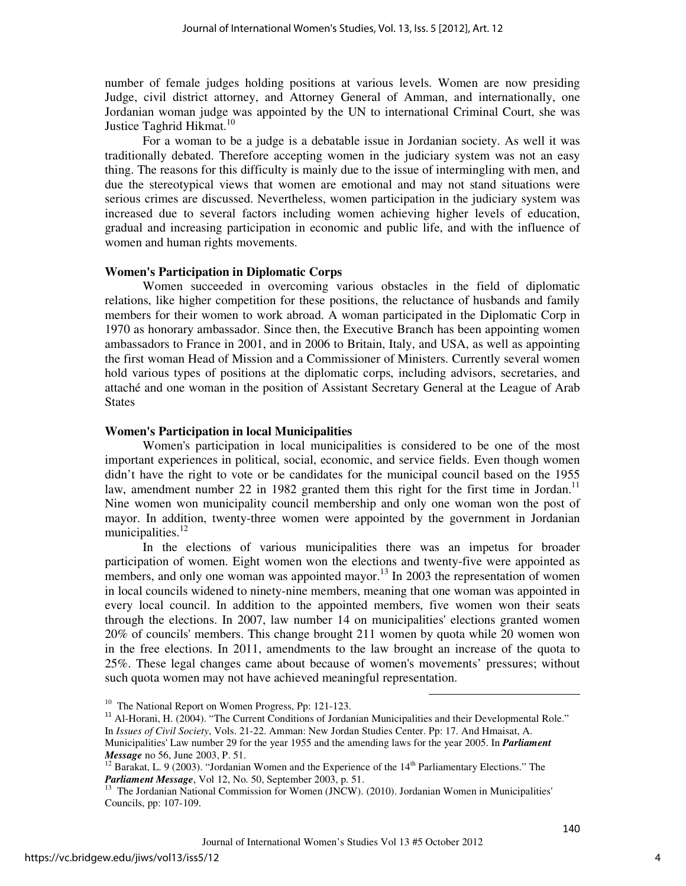number of female judges holding positions at various levels. Women are now presiding Judge, civil district attorney, and Attorney General of Amman, and internationally, one Jordanian woman judge was appointed by the UN to international Criminal Court, she was Justice Taghrid Hikmat.<sup>10</sup>

For a woman to be a judge is a debatable issue in Jordanian society. As well it was traditionally debated. Therefore accepting women in the judiciary system was not an easy thing. The reasons for this difficulty is mainly due to the issue of intermingling with men, and due the stereotypical views that women are emotional and may not stand situations were serious crimes are discussed. Nevertheless, women participation in the judiciary system was increased due to several factors including women achieving higher levels of education, gradual and increasing participation in economic and public life, and with the influence of women and human rights movements.

#### **Women's Participation in Diplomatic Corps**

 Women succeeded in overcoming various obstacles in the field of diplomatic relations, like higher competition for these positions, the reluctance of husbands and family members for their women to work abroad. A woman participated in the Diplomatic Corp in 1970 as honorary ambassador. Since then, the Executive Branch has been appointing women ambassadors to France in 2001, and in 2006 to Britain, Italy, and USA, as well as appointing the first woman Head of Mission and a Commissioner of Ministers. Currently several women hold various types of positions at the diplomatic corps, including advisors, secretaries, and attaché and one woman in the position of Assistant Secretary General at the League of Arab **States** 

#### **Women's Participation in local Municipalities**

Women's participation in local municipalities is considered to be one of the most important experiences in political, social, economic, and service fields. Even though women didn't have the right to vote or be candidates for the municipal council based on the 1955 law, amendment number 22 in 1982 granted them this right for the first time in Jordan.<sup>11</sup> Nine women won municipality council membership and only one woman won the post of mayor. In addition, twenty-three women were appointed by the government in Jordanian municipalities.<sup>12</sup>

In the elections of various municipalities there was an impetus for broader participation of women. Eight women won the elections and twenty-five were appointed as members, and only one woman was appointed mayor.<sup>13</sup> In 2003 the representation of women in local councils widened to ninety-nine members, meaning that one woman was appointed in every local council. In addition to the appointed members, five women won their seats through the elections. In 2007, law number 14 on municipalities' elections granted women 20% of councils' members. This change brought 211 women by quota while 20 women won in the free elections. In 2011, amendments to the law brought an increase of the quota to 25%. These legal changes came about because of women's movements' pressures; without such quota women may not have achieved meaningful representation.

 $\overline{\phantom{a}}$ 

<sup>&</sup>lt;sup>10</sup> The National Report on Women Progress, Pp: 121-123.

<sup>&</sup>lt;sup>11</sup> Al-Horani, H. (2004). "The Current Conditions of Jordanian Municipalities and their Developmental Role." In *Issues of Civil Society*, Vols. 21-22. Amman: New Jordan Studies Center. Pp: 17. And Hmaisat, A. Municipalities' Law number 29 for the year 1955 and the amending laws for the year 2005. In *Parliament Message* no 56, June 2003, P. 51.

<sup>&</sup>lt;sup>12</sup> Barakat, L. 9 (2003). "Jordanian Women and the Experience of the  $14<sup>th</sup>$  Parliamentary Elections." The *Parliament Message*, Vol 12, No. 50, September 2003, p. 51.

<sup>&</sup>lt;sup>13</sup> The Jordanian National Commission for Women (JNCW). (2010). Jordanian Women in Municipalities' Councils, pp: 107-109.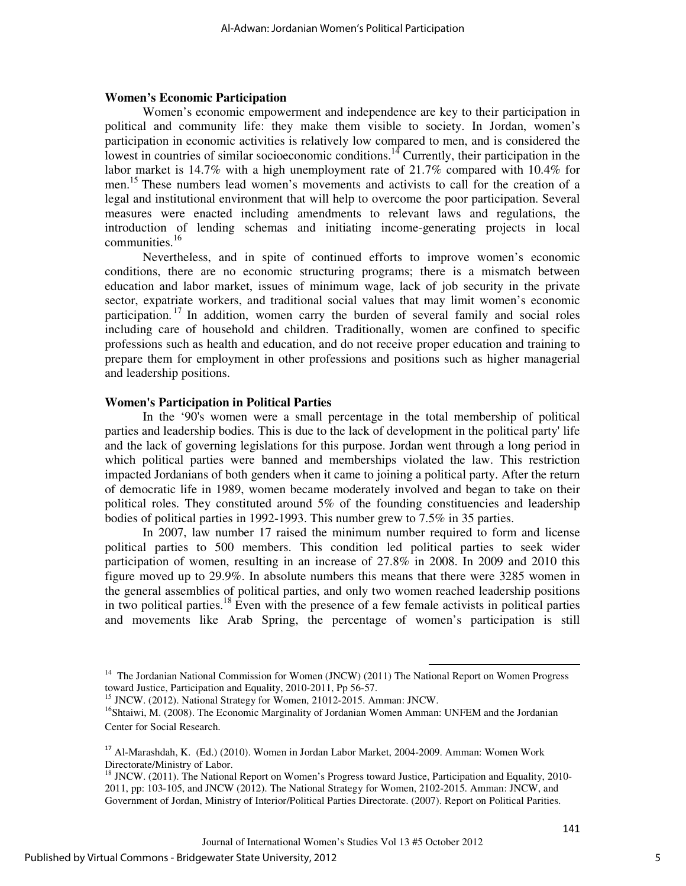#### **Women's Economic Participation**

Women's economic empowerment and independence are key to their participation in political and community life: they make them visible to society. In Jordan, women's participation in economic activities is relatively low compared to men, and is considered the lowest in countries of similar socioeconomic conditions.<sup>14</sup> Currently, their participation in the labor market is 14.7% with a high unemployment rate of 21.7% compared with 10.4% for men.<sup>15</sup> These numbers lead women's movements and activists to call for the creation of a legal and institutional environment that will help to overcome the poor participation. Several measures were enacted including amendments to relevant laws and regulations, the introduction of lending schemas and initiating income-generating projects in local communities.<sup>16</sup>

Nevertheless, and in spite of continued efforts to improve women's economic conditions, there are no economic structuring programs; there is a mismatch between education and labor market, issues of minimum wage, lack of job security in the private sector, expatriate workers, and traditional social values that may limit women's economic participation.<sup>17</sup> In addition, women carry the burden of several family and social roles including care of household and children. Traditionally, women are confined to specific professions such as health and education, and do not receive proper education and training to prepare them for employment in other professions and positions such as higher managerial and leadership positions.

#### **Women's Participation in Political Parties**

In the '90's women were a small percentage in the total membership of political parties and leadership bodies. This is due to the lack of development in the political party' life and the lack of governing legislations for this purpose. Jordan went through a long period in which political parties were banned and memberships violated the law. This restriction impacted Jordanians of both genders when it came to joining a political party. After the return of democratic life in 1989, women became moderately involved and began to take on their political roles. They constituted around 5% of the founding constituencies and leadership bodies of political parties in 1992-1993. This number grew to 7.5% in 35 parties.

In 2007, law number 17 raised the minimum number required to form and license political parties to 500 members. This condition led political parties to seek wider participation of women, resulting in an increase of 27.8% in 2008. In 2009 and 2010 this figure moved up to 29.9%. In absolute numbers this means that there were 3285 women in the general assemblies of political parties, and only two women reached leadership positions in two political parties.<sup>18</sup> Even with the presence of a few female activists in political parties and movements like Arab Spring, the percentage of women's participation is still

 $\overline{\phantom{a}}$ 

Journal of International Women's Studies Vol 13 #5 October 2012

<sup>&</sup>lt;sup>14</sup> The Jordanian National Commission for Women (JNCW) (2011) The National Report on Women Progress toward Justice, Participation and Equality, 2010-2011, Pp 56-57.

<sup>&</sup>lt;sup>15</sup> JNCW. (2012). National Strategy for Women, 21012-2015. Amman: JNCW.

<sup>&</sup>lt;sup>16</sup>Shtaiwi, M. (2008). The Economic Marginality of Jordanian Women Amman: UNFEM and the Jordanian Center for Social Research.

<sup>&</sup>lt;sup>17</sup> Al-Marashdah, K. (Ed.) (2010). Women in Jordan Labor Market, 2004-2009. Amman: Women Work Directorate/Ministry of Labor.

<sup>&</sup>lt;sup>18</sup> JNCW. (2011). The National Report on Women's Progress toward Justice, Participation and Equality, 2010-2011, pp: 103-105, and JNCW (2012). The National Strategy for Women, 2102-2015. Amman: JNCW, and Government of Jordan, Ministry of Interior/Political Parties Directorate. (2007). Report on Political Parities.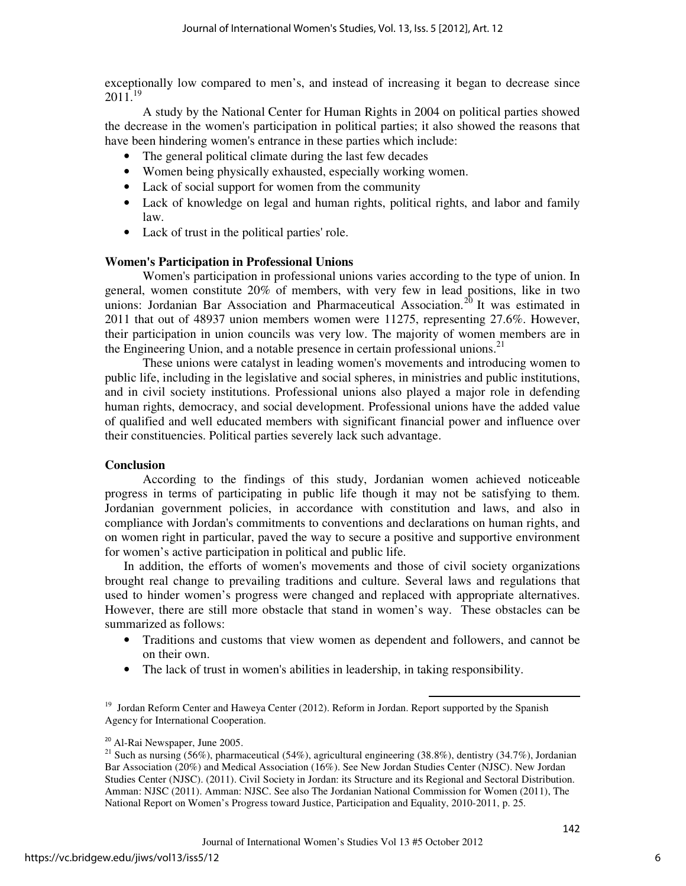exceptionally low compared to men's, and instead of increasing it began to decrease since 2011.<sup>19</sup>

 A study by the National Center for Human Rights in 2004 on political parties showed the decrease in the women's participation in political parties; it also showed the reasons that have been hindering women's entrance in these parties which include:

- The general political climate during the last few decades
- Women being physically exhausted, especially working women.
- Lack of social support for women from the community
- Lack of knowledge on legal and human rights, political rights, and labor and family law.
- Lack of trust in the political parties' role.

# **Women's Participation in Professional Unions**

Women's participation in professional unions varies according to the type of union. In general, women constitute 20% of members, with very few in lead positions, like in two unions: Jordanian Bar Association and Pharmaceutical Association.<sup>20</sup> It was estimated in 2011 that out of 48937 union members women were 11275, representing 27.6%. However, their participation in union councils was very low. The majority of women members are in the Engineering Union, and a notable presence in certain professional unions.<sup>21</sup>

These unions were catalyst in leading women's movements and introducing women to public life, including in the legislative and social spheres, in ministries and public institutions, and in civil society institutions. Professional unions also played a major role in defending human rights, democracy, and social development. Professional unions have the added value of qualified and well educated members with significant financial power and influence over their constituencies. Political parties severely lack such advantage.

# **Conclusion**

According to the findings of this study, Jordanian women achieved noticeable progress in terms of participating in public life though it may not be satisfying to them. Jordanian government policies, in accordance with constitution and laws, and also in compliance with Jordan's commitments to conventions and declarations on human rights, and on women right in particular, paved the way to secure a positive and supportive environment for women's active participation in political and public life.

In addition, the efforts of women's movements and those of civil society organizations brought real change to prevailing traditions and culture. Several laws and regulations that used to hinder women's progress were changed and replaced with appropriate alternatives. However, there are still more obstacle that stand in women's way. These obstacles can be summarized as follows:

• Traditions and customs that view women as dependent and followers, and cannot be on their own.

 $\overline{\phantom{a}}$ 

• The lack of trust in women's abilities in leadership, in taking responsibility.

<sup>19</sup> Jordan Reform Center and Haweya Center (2012). Reform in Jordan. Report supported by the Spanish Agency for International Cooperation.

<sup>20</sup> Al-Rai Newspaper, June 2005.

<sup>&</sup>lt;sup>21</sup> Such as nursing (56%), pharmaceutical (54%), agricultural engineering (38.8%), dentistry (34.7%), Jordanian Bar Association (20%) and Medical Association (16%). See New Jordan Studies Center (NJSC). New Jordan Studies Center (NJSC). (2011). Civil Society in Jordan: its Structure and its Regional and Sectoral Distribution. Amman: NJSC (2011). Amman: NJSC. See also The Jordanian National Commission for Women (2011), The National Report on Women's Progress toward Justice, Participation and Equality, 2010-2011, p. 25.